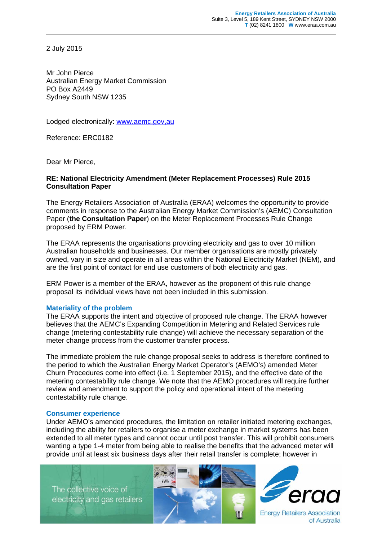2 July 2015

Mr John Pierce Australian Energy Market Commission PO Box A2449 Sydney South NSW 1235

Lodged electronically: www.aemc.gov,au

Reference: ERC0182

Dear Mr Pierce,

## **RE: National Electricity Amendment (Meter Replacement Processes) Rule 2015 Consultation Paper**

The Energy Retailers Association of Australia (ERAA) welcomes the opportunity to provide comments in response to the Australian Energy Market Commission's (AEMC) Consultation Paper (**the Consultation Paper**) on the Meter Replacement Processes Rule Change proposed by ERM Power.

The ERAA represents the organisations providing electricity and gas to over 10 million Australian households and businesses. Our member organisations are mostly privately owned, vary in size and operate in all areas within the National Electricity Market (NEM), and are the first point of contact for end use customers of both electricity and gas.

ERM Power is a member of the ERAA, however as the proponent of this rule change proposal its individual views have not been included in this submission.

## **Materiality of the problem**

The ERAA supports the intent and objective of proposed rule change. The ERAA however believes that the AEMC's Expanding Competition in Metering and Related Services rule change (metering contestability rule change) will achieve the necessary separation of the meter change process from the customer transfer process.

The immediate problem the rule change proposal seeks to address is therefore confined to the period to which the Australian Energy Market Operator's (AEMO's) amended Meter Churn Procedures come into effect (i.e. 1 September 2015), and the effective date of the metering contestability rule change. We note that the AEMO procedures will require further review and amendment to support the policy and operational intent of the metering contestability rule change.

## **Consumer experience**

Under AEMO's amended procedures, the limitation on retailer initiated metering exchanges, including the ability for retailers to organise a meter exchange in market systems has been extended to all meter types and cannot occur until post transfer. This will prohibit consumers wanting a type 1-4 meter from being able to realise the benefits that the advanced meter will provide until at least six business days after their retail transfer is complete; however in

The collective voice of electricity and gas retailers





of Australia